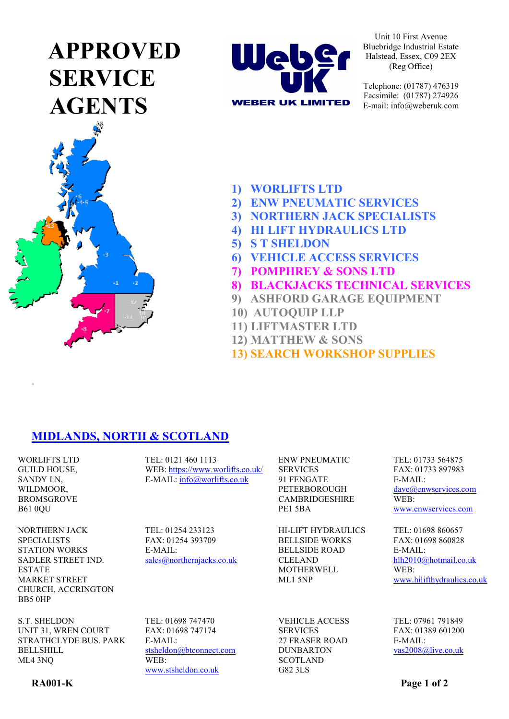# **APPROVED SERVICE AGENTS**





Unit 10 First Avenue Bluebridge Industrial Estate Halstead, Essex, C09 2EX (Reg Office)

Telephone: (01787) 476319 Facsimile: (01787) 274926 E-mail: info@weberuk.com

- **1) WORLIFTS LTD**
- **2) ENW PNEUMATIC SERVICES**
- **3) NORTHERN JACK SPECIALISTS**
- **4) HI LIFT HYDRAULICS LTD**
- **5) S T SHELDON**
- **6) VEHICLE ACCESS SERVICES**
- **7) POMPHREY & SONS LTD**
- **8) BLACKJACKS TECHNICAL SERVICES**
- **9) ASHFORD GARAGE EQUIPMENT**
- **10) AUTOQUIP LLP**
- **11) LIFTMASTER LTD**
- **12) MATTHEW & SONS**
- **13) SEARCH WORKSHOP SUPPLIES**

## **MIDLANDS, NORTH & SCOTLAND**

WORLIFTS LTD GUILD HOUSE, SANDY LN, WILDMOOR, BROMSGROVE B61 0QU

**.**

TEL: 0121 460 1113 WEB:<https://www.worlifts.co.uk/> E-MAIL: [info@worlifts.co.uk](mailto:info@worlifts.co.uk)

NORTHERN JACK **SPECIALISTS** STATION WORKS SADLER STREET IND. ESTATE MARKET STREET CHURCH, ACCRINGTON BB5 0HP

S.T. SHELDON UNIT 31, WREN COURT STRATHCLYDE BUS. PARK BELLSHILL ML4 3NQ

TEL: 01698 747470 E-MAIL:

[sales@northernjacks.co.uk](mailto:sales@northernjacks.co.uk)

TEL: 01254 233123 FAX: 01254 393709

E-MAIL:

FAX: 01698 747174 [stsheldon@btconnect.com](mailto:stsheldon@btconnect.com) WEB: [www.stsheldon.co.uk](http://www.stsheldon.co.uk/)

ENW PNEUMATIC SERVICES 91 FENGATE PETERBOROUGH CAMBRIDGESHIRE PE1 5BA

HI-LIFT HYDRAULICS BELLSIDE WORKS BELLSIDE ROAD CLELAND MOTHERWELL ML1 5NP

VEHICLE ACCESS SERVICES 27 FRASER ROAD DUNBARTON **SCOTLAND** G82 3LS

TEL: 01733 564875 FAX: 01733 897983 E-MAIL: [dave@enwservices.com](mailto:dave@enwservices.com) WEB: [www.enwservices.com](http://www.enwservices.com/)

TEL: 01698 860657 FAX: 01698 860828 E-MAIL: [hlh2010@hotmail.co.uk](mailto:hlh2010@hotmail.co.uk) WEB: [www.hilifthydraulics.co.uk](http://www.hilifthydraulics.co.uk/)

TEL: 07961 791849 FAX: 01389 601200 E-MAIL: [vas2008@live.co.uk](mailto:vas2008@live.co.uk)